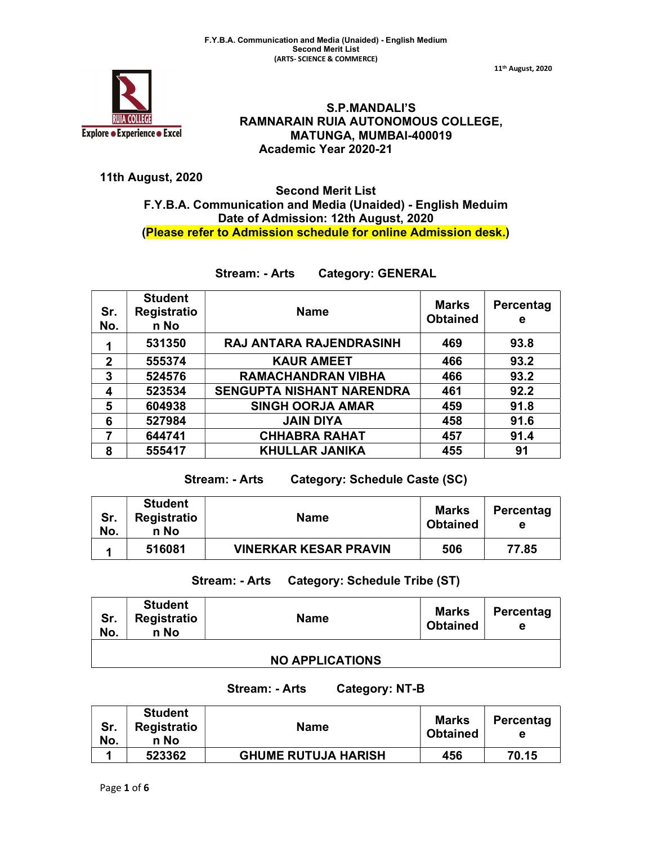

S.P.MANDALI'S RAMNARAIN RUIA AUTONOMOUS COLLEGE, MATUNGA, MUMBAI-400019 Academic Year 2020-21

## 11th August, 2020

# Second Merit List F.Y.B.A. Communication and Media (Unaided) - English Meduim Date of Admission: 12th August, 2020 (Please refer to Admission schedule for online Admission desk.)

# Stream: - Arts Category: GENERAL

| Sr.<br>No.  | <b>Student</b><br><b>Registratio</b><br>n No | <b>Name</b>                      | <b>Marks</b><br><b>Obtained</b> | Percentag<br>е |
|-------------|----------------------------------------------|----------------------------------|---------------------------------|----------------|
| 1           | 531350                                       | <b>RAJ ANTARA RAJENDRASINH</b>   | 469                             | 93.8           |
| $\mathbf 2$ | 555374                                       | <b>KAUR AMEET</b>                | 466                             | 93.2           |
| 3           | 524576                                       | <b>RAMACHANDRAN VIBHA</b>        | 466                             | 93.2           |
| 4           | 523534                                       | <b>SENGUPTA NISHANT NARENDRA</b> | 461                             | 92.2           |
| 5           | 604938                                       | <b>SINGH OORJA AMAR</b>          | 459                             | 91.8           |
| 6           | 527984                                       | <b>JAIN DIYA</b>                 | 458                             | 91.6           |
| 7           | 644741                                       | <b>CHHABRA RAHAT</b>             | 457                             | 91.4           |
| 8           | 555417                                       | <b>KHULLAR JANIKA</b>            | 455                             | 91             |

Stream: - Arts Category: Schedule Caste (SC)

| Sr.<br>No. | <b>Student</b><br><b>Registratio</b><br>n No | <b>Name</b>                  | <b>Marks</b><br><b>Obtained</b> | Percentag<br>е |
|------------|----------------------------------------------|------------------------------|---------------------------------|----------------|
|            | 516081                                       | <b>VINERKAR KESAR PRAVIN</b> | 506                             | 77.85          |

# Stream: - Arts Category: Schedule Tribe (ST)

| Sr.<br>No. | <b>Student</b><br>Registratio<br>n No | <b>Name</b>            | <b>Marks</b><br><b>Obtained</b> | Percentag<br>е |
|------------|---------------------------------------|------------------------|---------------------------------|----------------|
|            |                                       | <b>NO APPLICATIONS</b> |                                 |                |

Stream: - Arts Category: NT-B

| Sr.<br>No. | <b>Student</b><br>Registratio<br>n No | <b>Name</b>                | <b>Marks</b><br><b>Obtained</b> | Percentag<br>е |
|------------|---------------------------------------|----------------------------|---------------------------------|----------------|
|            | 523362                                | <b>GHUME RUTUJA HARISH</b> | 456                             | 70.15          |

11th August, 2020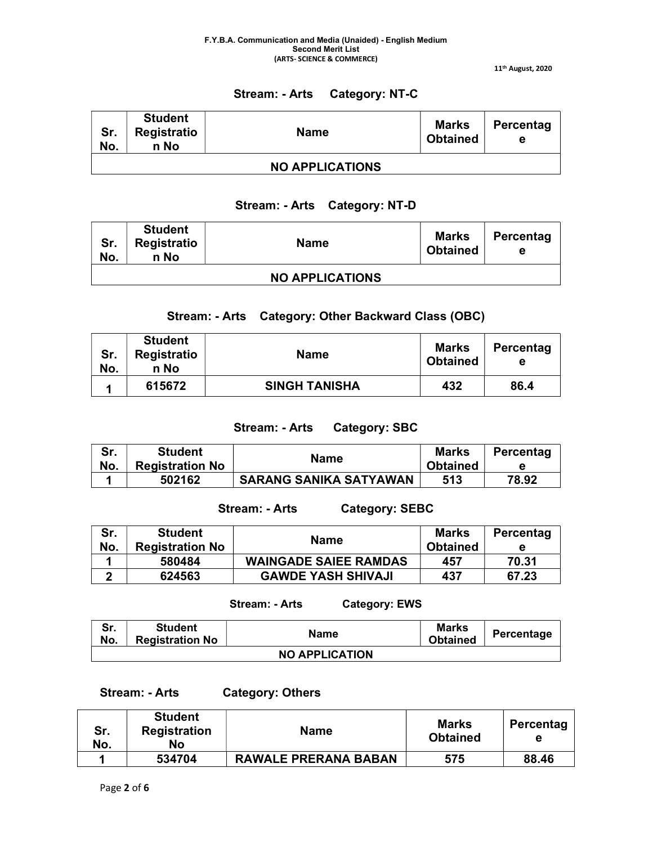11th August, 2020

# Stream: - Arts Category: NT-C

| Sr.<br>No.             | <b>Student</b><br>Registratio<br>n No | <b>Name</b> | <b>Marks</b><br><b>Obtained</b> | Percentag<br>е |  |
|------------------------|---------------------------------------|-------------|---------------------------------|----------------|--|
| <b>NO APPLICATIONS</b> |                                       |             |                                 |                |  |

# Stream: - Arts Category: NT-D

| Sr.<br>No. | <b>Student</b><br>Registratio<br>n No | <b>Name</b>            | <b>Marks</b><br><b>Obtained</b> | Percentag<br>е |
|------------|---------------------------------------|------------------------|---------------------------------|----------------|
|            |                                       | <b>NO APPLICATIONS</b> |                                 |                |

# Stream: - Arts Category: Other Backward Class (OBC)

| Sr.<br>No. | <b>Student</b><br>Registratio<br>n No | <b>Name</b>          | <b>Marks</b><br><b>Obtained</b> | Percentag<br>е |
|------------|---------------------------------------|----------------------|---------------------------------|----------------|
|            | 615672                                | <b>SINGH TANISHA</b> | 432                             | 86.4           |

## Stream: - Arts Category: SBC

| Sr.<br>No. | <b>Student</b><br><b>Registration No</b> | <b>Name</b>                   | <b>Marks</b><br><b>Obtained</b> | Percentag |
|------------|------------------------------------------|-------------------------------|---------------------------------|-----------|
|            | 502162                                   | <b>SARANG SANIKA SATYAWAN</b> | 513                             | 78.92     |

# Stream: - Arts Category: SEBC

| Sr.<br>No. | <b>Student</b><br><b>Registration No</b> | <b>Name</b>                  | <b>Marks</b><br><b>Obtained</b> | Percentag<br>е |
|------------|------------------------------------------|------------------------------|---------------------------------|----------------|
|            | 580484                                   | <b>WAINGADE SAIEE RAMDAS</b> | 457                             | 70.31          |
| n          | 624563                                   | <b>GAWDE YASH SHIVAJI</b>    | 437                             | 67.23          |

## Stream: - Arts Category: EWS

Sr. No. Student Student Name Marks Name Marks<br>Registration No Name Marks Name Marks Percentage NO APPLICATION

Stream: - Arts Category: Others

| Sr.<br>No. | <b>Student</b><br><b>Registration</b><br>No | <b>Name</b>                 | <b>Marks</b><br><b>Obtained</b> | Percentag |
|------------|---------------------------------------------|-----------------------------|---------------------------------|-----------|
|            | 534704                                      | <b>RAWALE PRERANA BABAN</b> | 575                             | 88.46     |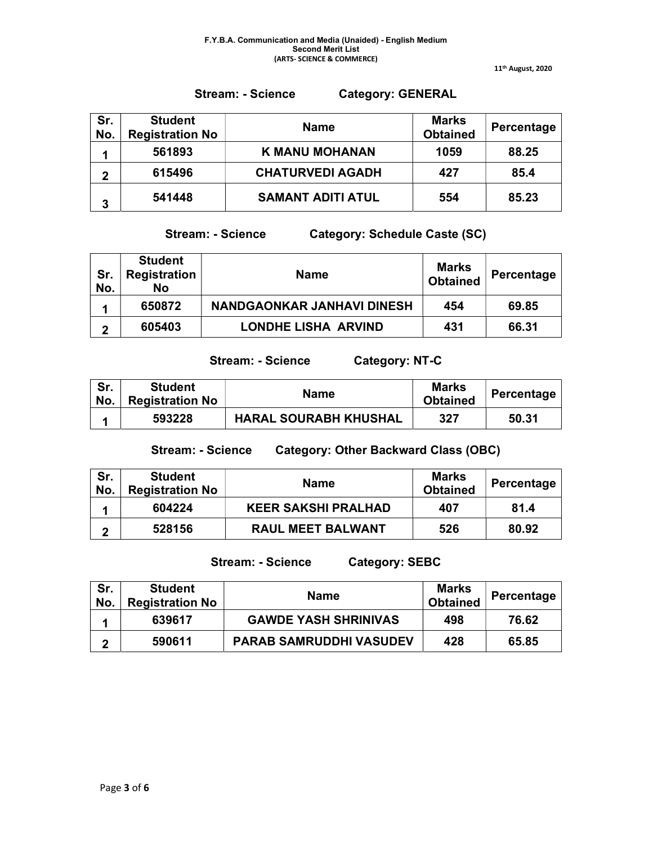Stream: - Science Category: GENERAL

11th August, 2020

| Sr.<br>No. | <b>Student</b><br><b>Registration No</b> | <b>Name</b>              | <b>Marks</b><br><b>Obtained</b> | Percentage |
|------------|------------------------------------------|--------------------------|---------------------------------|------------|
|            | 561893                                   | <b>K MANU MOHANAN</b>    | 1059                            | 88.25      |
| 2          | 615496                                   | <b>CHATURVEDI AGADH</b>  | 427                             | 85.4       |
| 3          | 541448                                   | <b>SAMANT ADITI ATUL</b> | 554                             | 85.23      |

Stream: - Science Category: Schedule Caste (SC)

| Sr.<br>No. | <b>Student</b><br><b>Registration</b><br><b>No</b> | <b>Name</b>                | <b>Marks</b><br><b>Obtained</b> | Percentage |
|------------|----------------------------------------------------|----------------------------|---------------------------------|------------|
|            | 650872                                             | NANDGAONKAR JANHAVI DINESH | 454                             | 69.85      |
| ◠          | 605403                                             | <b>LONDHE LISHA ARVIND</b> | 431                             | 66.31      |

Stream: - Science Category: NT-C

| Sr.<br>No. | <b>Student</b><br><b>Registration No</b> | <b>Name</b>                  | <b>Marks</b><br><b>Obtained</b> | Percentage |
|------------|------------------------------------------|------------------------------|---------------------------------|------------|
|            | 593228                                   | <b>HARAL SOURABH KHUSHAL</b> | 327                             | 50.31      |

Stream: - Science Category: Other Backward Class (OBC)

| Sr.<br>No. | <b>Student</b><br><b>Registration No</b> | <b>Name</b>                | <b>Marks</b><br><b>Obtained</b> | Percentage |
|------------|------------------------------------------|----------------------------|---------------------------------|------------|
|            | 604224                                   | <b>KEER SAKSHI PRALHAD</b> | 407                             | 81.4       |
| כי         | 528156                                   | <b>RAUL MEET BALWANT</b>   | 526                             | 80.92      |

Stream: - Science Category: SEBC

| Sr.<br>No. | <b>Student</b><br><b>Registration No</b> | <b>Name</b>                    | Marks<br><b>Obtained</b> | <b>Percentage</b> |
|------------|------------------------------------------|--------------------------------|--------------------------|-------------------|
|            | 639617                                   | <b>GAWDE YASH SHRINIVAS</b>    | 498                      | 76.62             |
|            | 590611                                   | <b>PARAB SAMRUDDHI VASUDEV</b> | 428                      | 65.85             |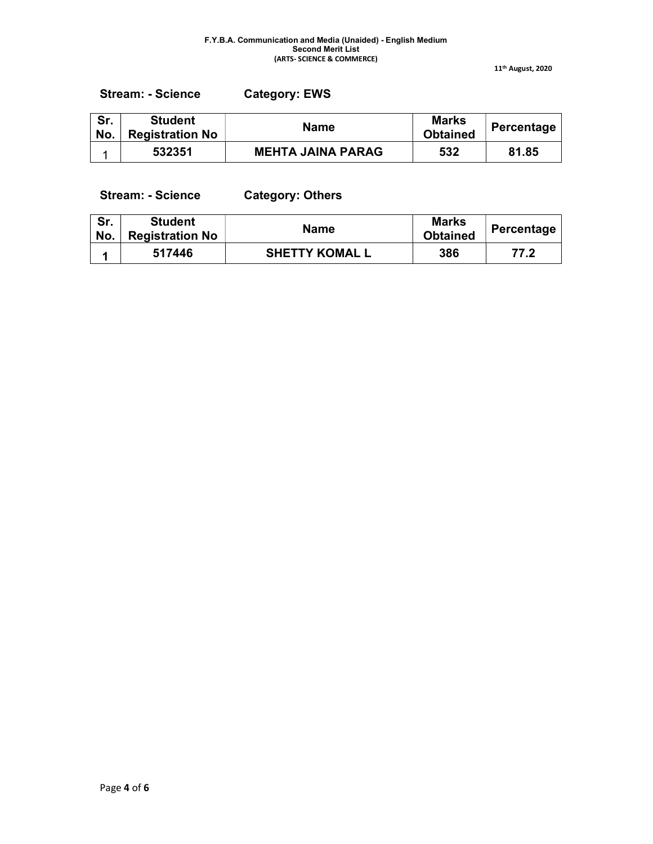11th August, 2020

| <b>Category: EWS</b><br><b>Stream: - Science</b> |
|--------------------------------------------------|
|--------------------------------------------------|

| Sr.<br>No. | <b>Student</b><br><b>Registration No</b> | <b>Name</b>              | <b>Marks</b><br><b>Obtained</b> | Percentage |
|------------|------------------------------------------|--------------------------|---------------------------------|------------|
|            | 532351                                   | <b>MEHTA JAINA PARAG</b> | 532                             | 81.85      |

Stream: - Science Category: Others

| Sr.<br>No. | <b>Student</b><br><b>Registration No</b> | <b>Name</b>           | <b>Marks</b><br><b>Obtained</b> | Percentage |
|------------|------------------------------------------|-----------------------|---------------------------------|------------|
|            | 517446                                   | <b>SHETTY KOMAL L</b> | 386                             | 77.2       |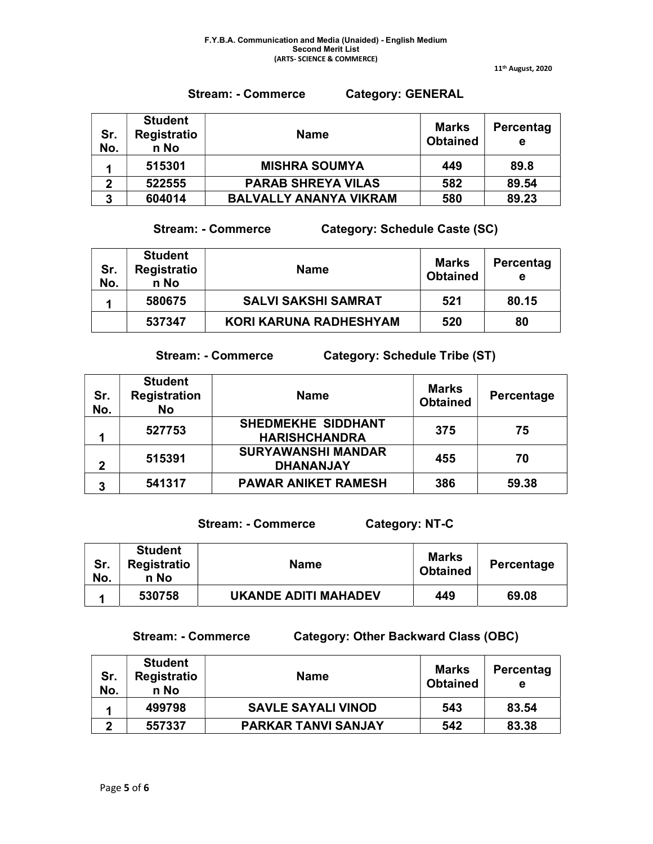11th August, 2020

# Stream: - Commerce Category: GENERAL

| Sr.<br>No.  | <b>Student</b><br><b>Registratio</b><br>n No | <b>Name</b>                   | Marks<br><b>Obtained</b> | Percentag<br>е |
|-------------|----------------------------------------------|-------------------------------|--------------------------|----------------|
|             | 515301                                       | <b>MISHRA SOUMYA</b>          | 449                      | 89.8           |
| $\mathbf 2$ | 522555                                       | <b>PARAB SHREYA VILAS</b>     | 582                      | 89.54          |
| 3           | 604014                                       | <b>BALVALLY ANANYA VIKRAM</b> | 580                      | 89.23          |

Stream: - Commerce Category: Schedule Caste (SC)

| Sr.<br>No. | <b>Student</b><br><b>Registratio</b><br>n No | <b>Name</b>                   | Marks<br><b>Obtained</b> | Percentag<br>е |
|------------|----------------------------------------------|-------------------------------|--------------------------|----------------|
|            | 580675                                       | <b>SALVI SAKSHI SAMRAT</b>    | 521                      | 80.15          |
|            | 537347                                       | <b>KORI KARUNA RADHESHYAM</b> | 520                      | 80             |

Stream: - Commerce Category: Schedule Tribe (ST)

| Sr.<br>No.     | <b>Student</b><br><b>Registration</b><br><b>No</b> | <b>Name</b>                                       | <b>Marks</b><br><b>Obtained</b> | Percentage |
|----------------|----------------------------------------------------|---------------------------------------------------|---------------------------------|------------|
|                | 527753                                             | <b>SHEDMEKHE SIDDHANT</b><br><b>HARISHCHANDRA</b> | 375                             | 75         |
| $\overline{2}$ | 515391                                             | <b>SURYAWANSHI MANDAR</b><br><b>DHANANJAY</b>     | 455                             | 70         |
| 3              | 541317                                             | <b>PAWAR ANIKET RAMESH</b>                        | 386                             | 59.38      |

Stream: - Commerce Category: NT-C

| Sr.<br>No. | <b>Student</b><br><b>Registratio</b><br>n No | <b>Name</b>          | <b>Marks</b><br><b>Obtained</b> | Percentage |
|------------|----------------------------------------------|----------------------|---------------------------------|------------|
|            | 530758                                       | UKANDE ADITI MAHADEV | 449                             | 69.08      |

Stream: - Commerce Category: Other Backward Class (OBC)

| Sr.<br>No. | <b>Student</b><br>Registratio<br>n No | <b>Name</b>                | Marks<br><b>Obtained</b> | Percentag<br>е |
|------------|---------------------------------------|----------------------------|--------------------------|----------------|
|            | 499798                                | <b>SAVLE SAYALI VINOD</b>  | 543                      | 83.54          |
| 2          | 557337                                | <b>PARKAR TANVI SANJAY</b> | 542                      | 83.38          |